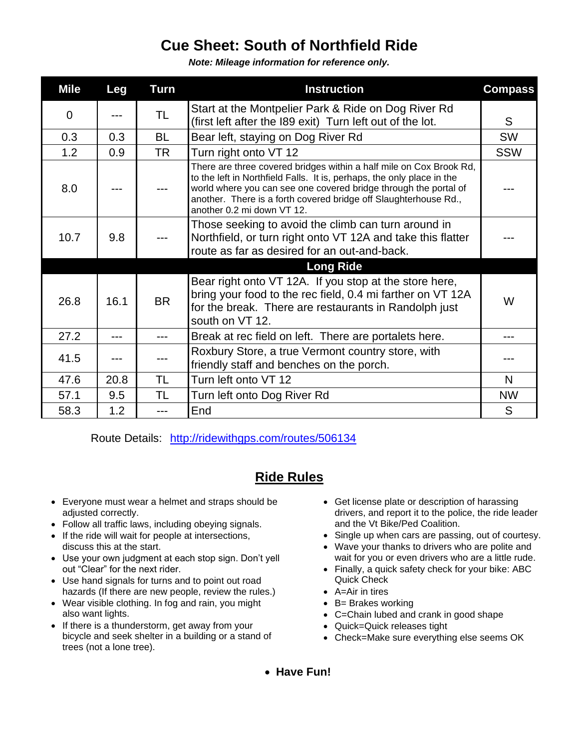## **Cue Sheet: South of Northfield Ride**

*Note: Mileage information for reference only.*

| <b>Mile</b>    | Leg  | Turn      | <b>Instruction</b>                                                                                                                                                                                                                                                                                                  | <b>Compass</b> |
|----------------|------|-----------|---------------------------------------------------------------------------------------------------------------------------------------------------------------------------------------------------------------------------------------------------------------------------------------------------------------------|----------------|
| $\overline{0}$ |      | TL        | Start at the Montpelier Park & Ride on Dog River Rd<br>(first left after the I89 exit) Turn left out of the lot.                                                                                                                                                                                                    | S              |
| 0.3            | 0.3  | BL        | Bear left, staying on Dog River Rd                                                                                                                                                                                                                                                                                  | <b>SW</b>      |
| 1.2            | 0.9  | TR        | Turn right onto VT 12                                                                                                                                                                                                                                                                                               | <b>SSW</b>     |
| 8.0            |      |           | There are three covered bridges within a half mile on Cox Brook Rd,<br>to the left in Northfield Falls. It is, perhaps, the only place in the<br>world where you can see one covered bridge through the portal of<br>another. There is a forth covered bridge off Slaughterhouse Rd.,<br>another 0.2 mi down VT 12. |                |
| 10.7           | 9.8  |           | Those seeking to avoid the climb can turn around in<br>Northfield, or turn right onto VT 12A and take this flatter<br>route as far as desired for an out-and-back.                                                                                                                                                  |                |
|                |      |           | <b>Long Ride</b>                                                                                                                                                                                                                                                                                                    |                |
| 26.8           | 16.1 | <b>BR</b> | Bear right onto VT 12A. If you stop at the store here,<br>bring your food to the rec field, 0.4 mi farther on VT 12A<br>for the break. There are restaurants in Randolph just<br>south on VT 12.                                                                                                                    | W              |
| 27.2           | ---  |           | Break at rec field on left. There are portalets here.                                                                                                                                                                                                                                                               |                |
| 41.5           |      |           | Roxbury Store, a true Vermont country store, with<br>friendly staff and benches on the porch.                                                                                                                                                                                                                       |                |
| 47.6           | 20.8 | <b>TL</b> | Turn left onto VT 12                                                                                                                                                                                                                                                                                                | N              |
| 57.1           | 9.5  | TL        | Turn left onto Dog River Rd                                                                                                                                                                                                                                                                                         | <b>NW</b>      |
| 58.3           | 1.2  | ---       | End                                                                                                                                                                                                                                                                                                                 | S              |

Route Details: <http://ridewithgps.com/routes/506134>

## **Ride Rules**

- Everyone must wear a helmet and straps should be adjusted correctly.
- Follow all traffic laws, including obeying signals.
- If the ride will wait for people at intersections, discuss this at the start.
- Use your own judgment at each stop sign. Don't yell out "Clear" for the next rider.
- Use hand signals for turns and to point out road hazards (If there are new people, review the rules.)
- Wear visible clothing. In fog and rain, you might also want lights.
- If there is a thunderstorm, get away from your bicycle and seek shelter in a building or a stand of trees (not a lone tree).
- Get license plate or description of harassing drivers, and report it to the police, the ride leader and the Vt Bike/Ped Coalition.
- Single up when cars are passing, out of courtesy.
- Wave your thanks to drivers who are polite and wait for you or even drivers who are a little rude.
- Finally, a quick safety check for your bike: ABC Quick Check
- A=Air in tires
- B= Brakes working
- C=Chain lubed and crank in good shape
- Quick=Quick releases tight
- Check=Make sure everything else seems OK

• **Have Fun!**